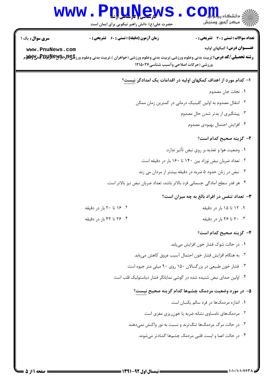## WWW.PnuNews.Com

| <b>سری سوال :</b> یک ۱ | <b>زمان آزمون (دقیقه) : تستی : 60 ٪ تشریحی : 0</b> | تعداد سوالات : تستى : 30 - تشريحي : 0                                                                                                                                                           |
|------------------------|----------------------------------------------------|-------------------------------------------------------------------------------------------------------------------------------------------------------------------------------------------------|
| www.PnuNews.com        |                                                    | <b>عنـــوان درس:</b> کمکهای اولیه                                                                                                                                                               |
|                        |                                                    | <b>رشته تحصیلی/کد درس:</b> تربیت بدنی وعلوم ورزشی،تربیت بدنی وعلوم ورزشی (خواهران )،تربیت بدنی وعلوم ورز <b>شگی(بایلیلاپایتاجانیلا) به می</b> لایی به<br>ورزشی (حرکات اصلاحی وآسیب شناسی1۲۱۵۰۲۷ |
|                        |                                                    |                                                                                                                                                                                                 |
|                        |                                                    | ا– کدام مورد از اهداف کمکهای اولیه در اقدامات یک امدادگر نیست؟                                                                                                                                  |
|                        |                                                    | ٠١ نجات جان مصدوم                                                                                                                                                                               |
|                        |                                                    | ۰۲ انتقال مصدوم به اولین کلینیک درمانی در کمترین زمان ممکن                                                                                                                                      |
|                        |                                                    | ۰۳ پیشگیری از بدتر شدن حال مصدوم                                                                                                                                                                |
|                        |                                                    | ۰۴ افزایش احتمال بهبودی مصدوم                                                                                                                                                                   |
|                        |                                                    | ۲- گزینه صحیح کدام است؟                                                                                                                                                                         |
|                        |                                                    | ۰۱ وضعیت هوا و تغذیه بر روی نبض تأثیر ندارد.                                                                                                                                                    |
|                        |                                                    | ۰۲ تعداد ضربان نبض نوزاد بين ۱۴۰ تا ۱۶۰ بار در دقيقه است.                                                                                                                                       |
|                        |                                                    | ۰۳ نبض در زنان حدود ۵ ضربه در دقیقه بیشتر از مردان می زند.                                                                                                                                      |
|                        |                                                    | ۰۴ هر قدر سطح آمادگی جسمانی فرد بالاتر باشد، تعداد ضربان نبض نیز بالاتر است.                                                                                                                    |
|                        |                                                    | <b>۳</b> - تعداد تنفس در افراد بالغ به چه میزان است؟                                                                                                                                            |
|                        | ۰۲ ۱۶ تا ۲۰ بار در دقیقه                           | ۰۱ ۱۲ تا ۱۵ بار در دقیقه                                                                                                                                                                        |
|                        | ۰۴ تا ۳۲ بار در دقیقه                              | ۰۳ ۲۰ تا ۲۶ بار در دقیقه                                                                                                                                                                        |
|                        |                                                    | ۴– گزینه صحیح کدام است؟                                                                                                                                                                         |
|                        |                                                    | ۰۱ در حالت شوک فشار خون افزایش مییابد.                                                                                                                                                          |
|                        |                                                    | ٠٢ به هنگام افزايش فشار خون احتمال آسيب عروق كاهش مييابد.                                                                                                                                       |
|                        |                                                    | ۰۳ فشار خون طبیعی در بزرگسالان ۱۵۰ روی ۹۰ میلی متر جیوه است                                                                                                                                     |
|                        |                                                    | ۰۴ اولین صدای نبض شنیده شده در گوشی نمایانگر فشار دیاستولیک قلب است                                                                                                                             |
|                        |                                                    | ۵– در مورد وضعیت مردمک چشمها کدام گزینه صحیح نیست؟                                                                                                                                              |
|                        |                                                    | ۰۱ اندازه مردمکها در فرد سالم یکسان است                                                                                                                                                         |
|                        |                                                    | ۰۲ مردمکهای نامساوی نشانه ضربه یا خون ریزی مغزی است                                                                                                                                             |
|                        |                                                    | ۰۳ در حالت مرگ مردمکها تنگترند و نسبت به نور واکنش نمیدهند                                                                                                                                      |
|                        |                                                    | ۰۴ در حالت اغما و ایست قلبی مردمک چشمها گشادتر میشوند.                                                                                                                                          |
|                        |                                                    |                                                                                                                                                                                                 |
|                        |                                                    |                                                                                                                                                                                                 |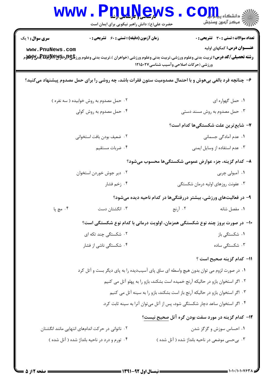| سری سوال: ۱ یک  | <b>زمان آزمون (دقیقه) : تستی : 60 ٪ تشریحی : 0</b>                                                       |                                                                                 | تعداد سوالات : تستي : 30 ٪ تشريحي : 0                            |
|-----------------|----------------------------------------------------------------------------------------------------------|---------------------------------------------------------------------------------|------------------------------------------------------------------|
| www.PnuNews.com |                                                                                                          | ورزشی (حرکات اصلاحی وآسیب شناسی۱۲۱۵۰۲۷                                          | <b>عنـــوان درس:</b> کمکهای اولیه                                |
|                 | ۶- چنانچه فرد بالغی بیهوش و با احتمال مصدومیت ستون فقرات باشد، چه روشی را برای حمل مصدوم پیشنهاد میکنید؟ |                                                                                 |                                                                  |
|                 | ۰۲ حمل مصدوم به روش خوابیده ( سه نفره )                                                                  |                                                                                 | ٠١. حمل گهواره اي                                                |
|                 | ۰۴ حمل مصدوم به روش کولی                                                                                 |                                                                                 | ۰۳ حمل مصدوم به روش مسند دستی                                    |
|                 |                                                                                                          |                                                                                 | <b>٧</b> - شايع ترين علت شكستگيها كدام است؟                      |
|                 | ٢. ضعيف بودن بافت استخواني                                                                               |                                                                                 | ۰۱ عدم آمادگی جسمانی                                             |
|                 | ۰۴ ضربات مستقيم                                                                                          |                                                                                 | ۰۳ عدم استفاده از وسایل ایمنی                                    |
|                 |                                                                                                          |                                                                                 | ۸– کدام گزینه، جزء عوارض عمومی شکستگیها محسوب میشود؟             |
|                 | ۰۲ دیر جوش خوردن استخوان                                                                                 |                                                                                 | ۰۱ آمبولی چربی                                                   |
|                 | ۰۴ زخم فشار                                                                                              |                                                                                 | ۰۳ عفونت روزهای اولیه درمان شکستگی                               |
|                 |                                                                                                          |                                                                                 | ۹- در فعالیتهای ورزشی، بیشتر دررفتگیها در کدام ناحیه دیده میشود؟ |
| ۰۴ مچ پا        | ۰۳ انگشتان دست                                                                                           | ۰۲ آرنج                                                                         | ۰۱ مفصل شانه                                                     |
|                 | ∙ا− در صورت بروز چند نوع شکستگی همزمان، اولویت درمانی با کدام نوع شکستگی است؟                            |                                                                                 |                                                                  |
|                 | ۰۲ شکست <i>گی چ</i> ند تکه ای                                                                            |                                                                                 | ۰۱ شکستگی باز                                                    |
|                 | ۰۴ شکستگی ناشی از فشار                                                                                   |                                                                                 | ۰۳ شکستگی ساده                                                   |
|                 |                                                                                                          |                                                                                 | 11– كدام گزينه صحيح است ؟                                        |
|                 | ۰۱ در صورت لزوم می توان بدون هیچ واسطه ای ساق پای آسیبدیده را به پای دیگر بست و آتل کرد                  |                                                                                 |                                                                  |
|                 |                                                                                                          | ۰۲ اگر استخوان بازو در حالیکه آرنج خمیده است بشکند، بازو را به پهلو آتل می کنیم |                                                                  |
|                 |                                                                                                          | ۰۳ اگر استخوان بازو در حالیکه آرنج باز است بشکند، بازو را به سینه آتل می کنیم   |                                                                  |
|                 |                                                                                                          | ۰۴ اگر استخوان ساعد دچار شکستگی شود، پس از آتل میتوان آنرا به سینه ثابت کرد.    |                                                                  |
|                 |                                                                                                          |                                                                                 | ۱۲– کدام گزینه در مورد سفت بودن گره آتل صحیح نیست؟               |
|                 | ۰۲ ناتوانی در حرکت اندامهای انتهایی مانند انگشتان                                                        |                                                                                 | ۰۱ احساس سوزش و گزگز شدن                                         |
|                 | ۰۴ تورم و درد در ناحیه بانداژ شده ( آتل شده )                                                            |                                                                                 | ۰۳ بیحسی موضعی در ناحیه بانداژ شده ( آتل شده )                   |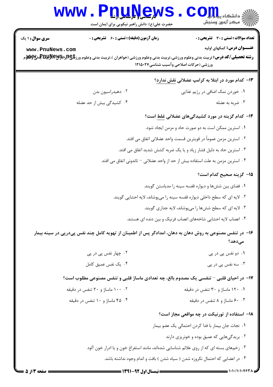| <b>WWW</b>             | لارساس الأراملي<br>حضرت علی(ع): دانش راهبر نیکویی برای ایمان است                                                                                                                               | رآ - مرڪز آزمون وسنڊش                                                         |
|------------------------|------------------------------------------------------------------------------------------------------------------------------------------------------------------------------------------------|-------------------------------------------------------------------------------|
| <b>سری سوال : ۱ یک</b> | <b>زمان آزمون (دقیقه) : تستی : 60 ٪ تشریحی : 0</b>                                                                                                                                             | تعداد سوالات : تستي : 30 - تشريحي : 0                                         |
| www.PnuNews.com        |                                                                                                                                                                                                | <b>عنـــوان درس:</b> کمکهای اولیه                                             |
|                        | <b>رشته تحصیلی/کد درس:</b> تربیت بدنی وعلوم ورزشی،تربیت بدنی وعلوم ورزشی (خواهران )،تربیت بدنی وعلوم ورز <b>شگی(ببراپویلپولالپویلوی بو</b> لایی بازی<br>ورزشی (حرکات اصلاحی وآسیب شناسی۱۲۱۵۰۲۷ |                                                                               |
|                        |                                                                                                                                                                                                | ۱۳- کدام مورد در ابتلا به کرامپ عضلانی <u>نقش ندارد</u> ؟                     |
|                        | ۰۲ دهیدراسیون بدن                                                                                                                                                                              | ۰۱ خوردن نمک اضافی در رژیم غذایی                                              |
|                        | ۰۴ کشیدگی بیش از حد عضله                                                                                                                                                                       | ۰۳ ضربه به عضله                                                               |
|                        |                                                                                                                                                                                                | ۱۴- کدام گزینه در مورد کشیدگیهای عضلانی غلط است؟                              |
|                        |                                                                                                                                                                                                | ٠١ استرين ممكن است به دو صورت حاد و مزمن ايجاد شود.                           |
|                        |                                                                                                                                                                                                | ٢ . استرين مزمن عموماً در قويترين قسمت واحد عضلانى اتفاق مى افتد.             |
|                        |                                                                                                                                                                                                | ۰۳ استرین حاد به دلیل فشار زیاد و یا یک ضربه کشش شدید اتفاق می افتد.          |
|                        | ۰۴ استرین مزمن به علت استفاده بیش از حد از واحد عضلانی – تاندونی اتفاق می افتد.                                                                                                                |                                                                               |
|                        |                                                                                                                                                                                                | 1۵– گزینه صحیح کدام است؟                                                      |
|                        |                                                                                                                                                                                                | ۰۱ فضای بین ششها و دیواره قفسه سینه را مدیاستن گویند.                         |
|                        |                                                                                                                                                                                                | ۲ . لایه ای که سطح داخلی دیواره قفسه سینه را میپوشاند، لایه احشایی گویند.     |
|                        |                                                                                                                                                                                                | ۰۳ لایه ای که سطح ششها را میپوشاند، لایه جداری گویند.                         |
|                        |                                                                                                                                                                                                | ۰۴ اعصاب لایه احشایی شاخههای اعصاب فرنیک و بین دنده ای هستند.                 |
|                        | ۱۶– در تنفس مصنوعی به روش دهان به دهان، امدادگر پس از اطمینان از تهویه کامل چند نفس پیدرپی در سینه بیمار                                                                                       | مى،دھد؟                                                                       |
|                        | ۰۲ چهار نفس پی در پی                                                                                                                                                                           | ۰۱ دو نفس پی در پی                                                            |
|                        | ۰۴ یک نفس عمیق کامل                                                                                                                                                                            | ۰۳ سه نفس پی در پی                                                            |
|                        | ۱۷- در احیای قلبی – تنفسی یک مصدوم بالغ، چه تعدادی ماساژ قلبی و تنفس مصنوعی مطلوب است؟                                                                                                         |                                                                               |
|                        | ۰۰ ۱۰۰ ماساژ و ۲۰ تنفس در دقیقه                                                                                                                                                                | ۰۱ ۱۲۰ ماساژ و ۳۰ تنفس در دقیقه                                               |
|                        | ۰۴ ماساژ و ۱۰ تنفس در دقیقه                                                                                                                                                                    | ۰.۳ ۶۰ ماساژ و ۸ تنفس در دقیقه                                                |
|                        |                                                                                                                                                                                                | ۱۸– استفاده از تورنیکت در چه مواقعی مجاز است؟                                 |
|                        |                                                                                                                                                                                                | ٠١. نجات جان بيمار با فدا كردن احتمالي يک عضو بيمار                           |
|                        |                                                                                                                                                                                                | ۰۲ بریدگیهایی که عمیق بوده و خونریزی دارند                                    |
|                        | ۰۳ زخمهای بسته ای که از روی علائم شناسایی شدهاند، مانند استفراغ خون و یا ادرار خون آلود                                                                                                        |                                                                               |
|                        |                                                                                                                                                                                                | ۰۴ در اعضایی که احتمال نکروزه شدن ( سیاه شدن ) بافت و اندام وجود نداشته باشد. |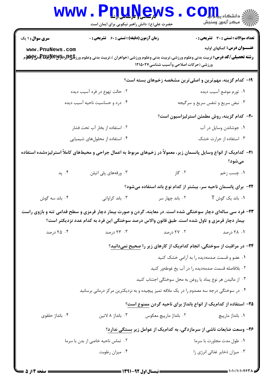|                                 | <b>WWW.</b><br><b>PDUAGW</b><br>حضرت علی(ع): دانش راهبر نیکویی برای ایمان است                                              |                                        | أأأآ مركز آزمون وسنجش                                                                                                                                                                                                                                                                 |
|---------------------------------|----------------------------------------------------------------------------------------------------------------------------|----------------------------------------|---------------------------------------------------------------------------------------------------------------------------------------------------------------------------------------------------------------------------------------------------------------------------------------|
| <b>سری سوال : ۱ یک</b>          | <b>زمان آزمون (دقیقه) : تستی : 60 ٪ تشریحی : 0</b>                                                                         |                                        | <b>تعداد سوالات : تستی : 30 ٪ تشریحی : 0</b>                                                                                                                                                                                                                                          |
| www.PnuNews.com                 |                                                                                                                            | ورزشی (حرکات اصلاحی وآسیب شناسی۱۲۱۵۰۲۷ | <b>عنـــوان درس:</b> کمکهای اولیه<br><b>رشته تحصیلی/کد درس:</b> تربیت بدنی وعلوم ورزشی،تربیت بدنی وعلوم ورزشی (خواهران )،تربیت بدنی وعلوم ورز <b>شگی(لپلیت بلانیل تولیل به میلان</b><br>مسته <b>تحصیلی/کد درس:</b> تربیت بدنی وعلوم ورزشی،تربیت بدنی وعلوم ورزشی (خواهران )،تربیت بدن |
|                                 |                                                                                                                            |                                        | ۱۹- کدام گزینه، مهمترین و اصلیترین مشخصه زخمهای بسته است؟                                                                                                                                                                                                                             |
| ۲. حالت تهوع در فرد آسیب دیده   |                                                                                                                            |                                        | ۰۱ تورم موضع آسیب دیده                                                                                                                                                                                                                                                                |
| ۰۴ درد و حساسیت ناحیه آسیب دیده |                                                                                                                            | ۰۳ نبض سریع و تنفس سریع و سرگیجه       |                                                                                                                                                                                                                                                                                       |
|                                 |                                                                                                                            |                                        | <b>۲۰</b> کدام گزینه، روش مطمئن استرلیزاسیون است؟                                                                                                                                                                                                                                     |
| ۲. استفاده از بخار آب تحت فشار  |                                                                                                                            |                                        | ٠١ جوشاندن وسايل در آب                                                                                                                                                                                                                                                                |
|                                 | ۰۴ استفاده از محلولهای شیمیایی                                                                                             |                                        | ۰۳ استفاده از حرارت خشک                                                                                                                                                                                                                                                               |
|                                 | <b>۲۱</b> – کدامیک از انواع وسایل پانسمان زیر، معمولاً در زخمهای مربوط به اعمال جراحی و محیطهای کاملاً استرلیزهشده استفاده |                                        | مىشود؟                                                                                                                                                                                                                                                                                |
| ۰۴ پد                           | ۰۳ ورقههای پلی اتیلن                                                                                                       | ۰۲ گاز                                 | ١. چسب زخم                                                                                                                                                                                                                                                                            |
|                                 |                                                                                                                            |                                        | <b>۲۲</b> - برای پانسمان ناحیه سر، بیشتر از کدام نوع باند استفاده میشود؟                                                                                                                                                                                                              |
| ۰۴ باند سه گوش                  | ۰۳ باند کراواتی                                                                                                            | ۰۲ باند چهار سر                        | ۰۱ باند یک گوش T                                                                                                                                                                                                                                                                      |
|                                 |                                                                                                                            |                                        | ۲۳- فرد سی سالهای دچار سوختگی شده است. در معاینه، گردن و صورت بیمار دچار قرمزی و سطح قدامی تنه و بازوی راست                                                                                                                                                                           |
|                                 | بیمار دچار قرمزی و تاول شده است. طبق قانون والاس درصد سوختگی این فرد به کدام عدد نزدیکتر است؟                              |                                        |                                                                                                                                                                                                                                                                                       |
| ۰۴ درصد                         | ۰۳ درصد                                                                                                                    | ۰۲ درصد                                | ۰۱ ۲۸ درصد                                                                                                                                                                                                                                                                            |
|                                 |                                                                                                                            |                                        | <b>۲۴</b> - در مراقبت از سوختگی، انجام کدامیک از کارهای زیر را <u>صحیح نمی</u> دانید؟                                                                                                                                                                                                 |
|                                 |                                                                                                                            |                                        | ۰۱ عضو و قسمت صدمهدیده را به آرامی خشک کنید                                                                                                                                                                                                                                           |
|                                 |                                                                                                                            |                                        | ۰۲ بلافاصله قسمت صدمهدیده را در آب یخ غوطهور کنید                                                                                                                                                                                                                                     |
|                                 |                                                                                                                            |                                        | ۰۳ از مالیدن هر نوع پماد یا روغن به محل سوختگی اجتناب کنید                                                                                                                                                                                                                            |
|                                 | ۰۴ در سوختگی درجه سه مصدوم را در یک ملافه تمیز پیچیده و به نزدیکترین مرکز درمانی برسانید                                   |                                        |                                                                                                                                                                                                                                                                                       |
|                                 |                                                                                                                            |                                        | ۲۵– استفاده از کدامیک از انواع بانداژ برای ناحیه گردن ممنوع است؟                                                                                                                                                                                                                      |
| ۰۴ بانداژ حلقوی                 | ۰۳ بانداژ ۸ لاتين                                                                                                          | ۰۲ بانداژ مارپیچ معکوس                 | ۰۱ بانداژ مارپیچ                                                                                                                                                                                                                                                                      |
|                                 | ۲۶- وسعت ضایعات ناشی از سرمازدگی، به کدامیک از عوامل زیر بستگی ندارد؟                                                      |                                        |                                                                                                                                                                                                                                                                                       |
|                                 | ۰۲ تماس ناحیه خاصی از بدن با سرما                                                                                          |                                        | ۰۱ طول مدت مجاورت با سرما                                                                                                                                                                                                                                                             |
|                                 | ۰۴ میزان رطوبت                                                                                                             |                                        | ۰۳ میزان ذخایر غذائی انرژی زا                                                                                                                                                                                                                                                         |